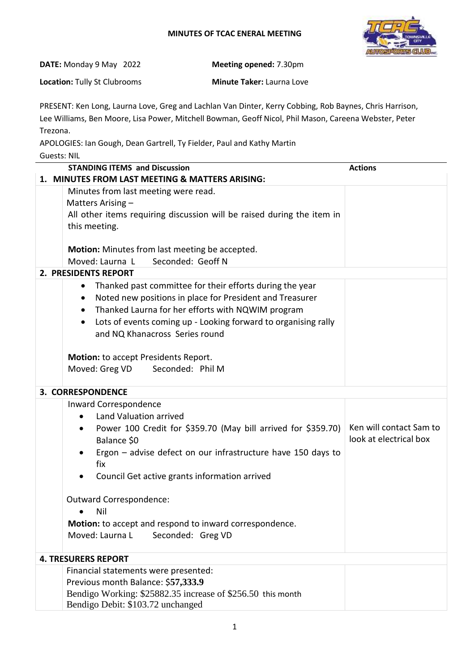## **MINUTES OF TCAC ENERAL MEETING**



| <b>DATE:</b> Monday 9 May 2022      | <b>Meeting opened: 7.30pm</b>    |
|-------------------------------------|----------------------------------|
| <b>Location: Tully St Clubrooms</b> | <b>Minute Taker: Laurna Love</b> |

PRESENT: Ken Long, Laurna Love, Greg and Lachlan Van Dinter, Kerry Cobbing, Rob Baynes, Chris Harrison, Lee Williams, Ben Moore, Lisa Power, Mitchell Bowman, Geoff Nicol, Phil Mason, Careena Webster, Peter Trezona.

APOLOGIES: Ian Gough, Dean Gartrell, Ty Fielder, Paul and Kathy Martin

| <b>Guests: NIL</b>                                                          |                         |  |  |  |
|-----------------------------------------------------------------------------|-------------------------|--|--|--|
| <b>STANDING ITEMS and Discussion</b>                                        | <b>Actions</b>          |  |  |  |
| 1. MINUTES FROM LAST MEETING & MATTERS ARISING:                             |                         |  |  |  |
| Minutes from last meeting were read.                                        |                         |  |  |  |
| Matters Arising -                                                           |                         |  |  |  |
| All other items requiring discussion will be raised during the item in      |                         |  |  |  |
| this meeting.                                                               |                         |  |  |  |
|                                                                             |                         |  |  |  |
| Motion: Minutes from last meeting be accepted.                              |                         |  |  |  |
| Moved: Laurna L<br>Seconded: Geoff N                                        |                         |  |  |  |
| 2. PRESIDENTS REPORT                                                        |                         |  |  |  |
| Thanked past committee for their efforts during the year<br>$\bullet$       |                         |  |  |  |
| Noted new positions in place for President and Treasurer                    |                         |  |  |  |
| Thanked Laurna for her efforts with NQWIM program<br>$\bullet$              |                         |  |  |  |
| Lots of events coming up - Looking forward to organising rally<br>$\bullet$ |                         |  |  |  |
| and NQ Khanacross Series round                                              |                         |  |  |  |
|                                                                             |                         |  |  |  |
| Motion: to accept Presidents Report.                                        |                         |  |  |  |
| Moved: Greg VD Seconded: Phil M                                             |                         |  |  |  |
|                                                                             |                         |  |  |  |
| 3. CORRESPONDENCE                                                           |                         |  |  |  |
| Inward Correspondence                                                       |                         |  |  |  |
| Land Valuation arrived                                                      |                         |  |  |  |
| Power 100 Credit for \$359.70 (May bill arrived for \$359.70)<br>$\bullet$  | Ken will contact Sam to |  |  |  |
| Balance \$0                                                                 | look at electrical box  |  |  |  |
| Ergon - advise defect on our infrastructure have 150 days to                |                         |  |  |  |
| fix                                                                         |                         |  |  |  |
| Council Get active grants information arrived                               |                         |  |  |  |
|                                                                             |                         |  |  |  |
| Outward Correspondence:                                                     |                         |  |  |  |
| Nil                                                                         |                         |  |  |  |
| Motion: to accept and respond to inward correspondence.                     |                         |  |  |  |
| Moved: Laurna L<br>Seconded: Greg VD                                        |                         |  |  |  |
|                                                                             |                         |  |  |  |
| <b>4. TRESURERS REPORT</b>                                                  |                         |  |  |  |
| Financial statements were presented:                                        |                         |  |  |  |
| Previous month Balance: \$57,333.9                                          |                         |  |  |  |
| Bendigo Working: \$25882.35 increase of \$256.50 this month                 |                         |  |  |  |
| Bendigo Debit: \$103.72 unchanged                                           |                         |  |  |  |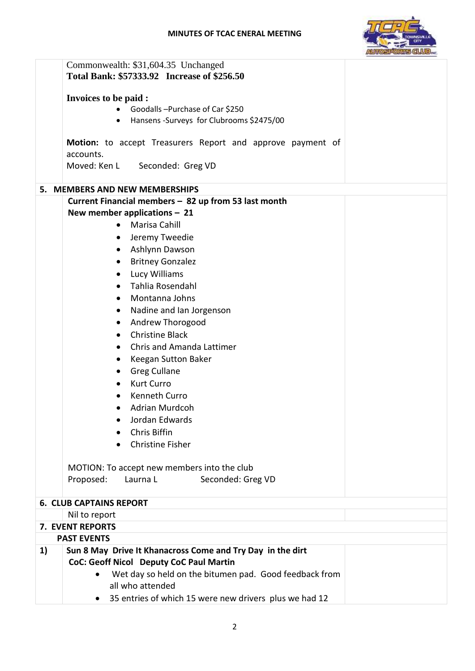

|    | Commonwealth: \$31,604.35 Unchanged<br>Total Bank: \$57333.92 Increase of \$256.50 |
|----|------------------------------------------------------------------------------------|
|    | Invoices to be paid :                                                              |
|    | Goodalls-Purchase of Car \$250                                                     |
|    | • Hansens - Surveys for Clubrooms \$2475/00                                        |
|    |                                                                                    |
|    | Motion: to accept Treasurers Report and approve payment of<br>accounts.            |
|    | Moved: Ken L Seconded: Greg VD                                                     |
|    | 5. MEMBERS AND NEW MEMBERSHIPS                                                     |
|    | Current Financial members - 82 up from 53 last month                               |
|    | New member applications $-21$                                                      |
|    | <b>Marisa Cahill</b><br>$\bullet$                                                  |
|    | Jeremy Tweedie<br>٠                                                                |
|    | Ashlynn Dawson<br>$\bullet$                                                        |
|    | <b>Britney Gonzalez</b><br>$\bullet$                                               |
|    | Lucy Williams<br>$\bullet$                                                         |
|    | Tahlia Rosendahl<br>$\bullet$                                                      |
|    | Montanna Johns<br>$\bullet$                                                        |
|    | Nadine and Ian Jorgenson<br>$\bullet$                                              |
|    | Andrew Thorogood<br>$\bullet$                                                      |
|    | <b>Christine Black</b><br>٠                                                        |
|    | <b>Chris and Amanda Lattimer</b><br>$\bullet$                                      |
|    |                                                                                    |
|    | Keegan Sutton Baker<br>$\bullet$                                                   |
|    | <b>Greg Cullane</b>                                                                |
|    | <b>Kurt Curro</b><br>٠                                                             |
|    | <b>Kenneth Curro</b>                                                               |
|    | Adrian Murdcoh<br>$\bullet$                                                        |
|    | Jordan Edwards                                                                     |
|    | Chris Biffin                                                                       |
|    | <b>Christine Fisher</b><br>$\bullet$                                               |
|    | MOTION: To accept new members into the club                                        |
|    | Proposed:<br>Laurna L<br>Seconded: Greg VD                                         |
|    | <b>6. CLUB CAPTAINS REPORT</b>                                                     |
|    | Nil to report                                                                      |
|    | 7. EVENT REPORTS                                                                   |
|    | <b>PAST EVENTS</b>                                                                 |
| 1) | Sun 8 May Drive It Khanacross Come and Try Day in the dirt                         |
|    | CoC: Geoff Nicol Deputy CoC Paul Martin                                            |
|    | Wet day so held on the bitumen pad. Good feedback from<br>$\bullet$                |
|    | all who attended                                                                   |
|    | 35 entries of which 15 were new drivers plus we had 12                             |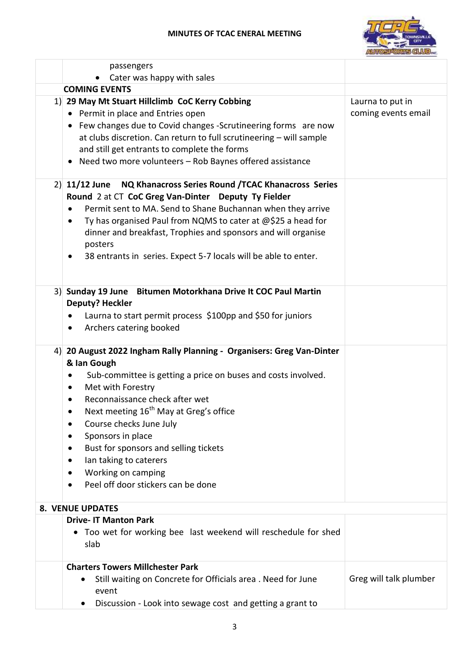

|    | passengers                                                                                                                                                                                                                                                                                                                                                                                                                                                                                                        |                                         |
|----|-------------------------------------------------------------------------------------------------------------------------------------------------------------------------------------------------------------------------------------------------------------------------------------------------------------------------------------------------------------------------------------------------------------------------------------------------------------------------------------------------------------------|-----------------------------------------|
|    | Cater was happy with sales                                                                                                                                                                                                                                                                                                                                                                                                                                                                                        |                                         |
|    | <b>COMING EVENTS</b>                                                                                                                                                                                                                                                                                                                                                                                                                                                                                              |                                         |
|    | 1) 29 May Mt Stuart Hillclimb CoC Kerry Cobbing<br>• Permit in place and Entries open<br>• Few changes due to Covid changes -Scrutineering forms are now<br>at clubs discretion. Can return to full scrutineering - will sample<br>and still get entrants to complete the forms<br>Need two more volunteers - Rob Baynes offered assistance                                                                                                                                                                       | Laurna to put in<br>coming events email |
|    | $2)$ 11/12 June<br>NQ Khanacross Series Round / TCAC Khanacross Series<br>Round 2 at CT CoC Greg Van-Dinter Deputy Ty Fielder<br>Permit sent to MA. Send to Shane Buchannan when they arrive<br>$\bullet$<br>Ty has organised Paul from NQMS to cater at @\$25 a head for<br>$\bullet$<br>dinner and breakfast, Trophies and sponsors and will organise<br>posters<br>38 entrants in series. Expect 5-7 locals will be able to enter.<br>$\bullet$                                                                |                                         |
|    | 3) Sunday 19 June Bitumen Motorkhana Drive It COC Paul Martin<br><b>Deputy? Heckler</b><br>Laurna to start permit process \$100pp and \$50 for juniors<br>Archers catering booked<br>$\bullet$                                                                                                                                                                                                                                                                                                                    |                                         |
| 4) | 20 August 2022 Ingham Rally Planning - Organisers: Greg Van-Dinter<br>& Ian Gough<br>Sub-committee is getting a price on buses and costs involved.<br>٠<br>Met with Forestry<br>$\bullet$<br>Reconnaissance check after wet<br>$\bullet$<br>Next meeting 16 <sup>th</sup> May at Greg's office<br>$\bullet$<br>Course checks June July<br>Sponsors in place<br>Bust for sponsors and selling tickets<br>Ian taking to caterers<br>٠<br>Working on camping<br>٠<br>Peel off door stickers can be done<br>$\bullet$ |                                         |
|    | <b>8. VENUE UPDATES</b>                                                                                                                                                                                                                                                                                                                                                                                                                                                                                           |                                         |
|    | <b>Drive- IT Manton Park</b>                                                                                                                                                                                                                                                                                                                                                                                                                                                                                      |                                         |
|    | • Too wet for working bee last weekend will reschedule for shed<br>slab                                                                                                                                                                                                                                                                                                                                                                                                                                           |                                         |
|    | <b>Charters Towers Millchester Park</b><br>Still waiting on Concrete for Officials area. Need for June<br>event<br>Discussion - Look into sewage cost and getting a grant to                                                                                                                                                                                                                                                                                                                                      | Greg will talk plumber                  |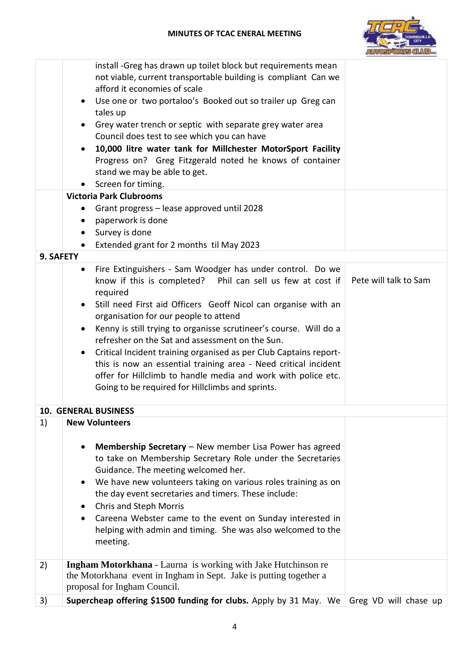

| Use one or two portaloo's Booked out so trailer up Greg can<br>tales up<br>Grey water trench or septic with separate grey water area<br>Council does test to see which you can have |
|-------------------------------------------------------------------------------------------------------------------------------------------------------------------------------------|
|                                                                                                                                                                                     |
|                                                                                                                                                                                     |
|                                                                                                                                                                                     |
| 10,000 litre water tank for Millchester MotorSport Facility<br>Progress on? Greg Fitzgerald noted he knows of container                                                             |
| stand we may be able to get.                                                                                                                                                        |
| Screen for timing.<br><b>Victoria Park Clubrooms</b>                                                                                                                                |
| Grant progress - lease approved until 2028                                                                                                                                          |
| paperwork is done<br>٠                                                                                                                                                              |
| Survey is done<br>$\bullet$                                                                                                                                                         |
| Extended grant for 2 months til May 2023<br>$\bullet$                                                                                                                               |
| 9. SAFETY                                                                                                                                                                           |
| Fire Extinguishers - Sam Woodger has under control. Do we<br>$\bullet$<br>Pete will talk to Sam<br>know if this is completed? Phil can sell us few at cost if<br>required           |
| Still need First aid Officers Geoff Nicol can organise with an                                                                                                                      |
| organisation for our people to attend                                                                                                                                               |
| Kenny is still trying to organisse scrutineer's course. Will do a<br>refresher on the Sat and assessment on the Sun.                                                                |
| Critical Incident training organised as per Club Captains report-                                                                                                                   |
| this is now an essential training area - Need critical incident                                                                                                                     |
| offer for Hillclimb to handle media and work with police etc.                                                                                                                       |
| Going to be required for Hillclimbs and sprints.                                                                                                                                    |
|                                                                                                                                                                                     |
| <b>10. GENERAL BUSINESS</b>                                                                                                                                                         |
| 1)<br><b>New Volunteers</b>                                                                                                                                                         |
|                                                                                                                                                                                     |
| Membership Secretary - New member Lisa Power has agreed<br>$\bullet$                                                                                                                |
| to take on Membership Secretary Role under the Secretaries                                                                                                                          |
| Guidance. The meeting welcomed her.<br>We have new volunteers taking on various roles training as on                                                                                |
| the day event secretaries and timers. These include:                                                                                                                                |
| <b>Chris and Steph Morris</b>                                                                                                                                                       |
| Careena Webster came to the event on Sunday interested in                                                                                                                           |
| helping with admin and timing. She was also welcomed to the<br>meeting.                                                                                                             |
|                                                                                                                                                                                     |
| <b>Ingham Motorkhana</b> - Laurna is working with Jake Hutchinson re<br>2)<br>the Motorkhana event in Ingham in Sept. Jake is putting together a<br>proposal for Ingham Council.    |
| Supercheap offering \$1500 funding for clubs. Apply by 31 May. We Greg VD will chase up<br>3)                                                                                       |